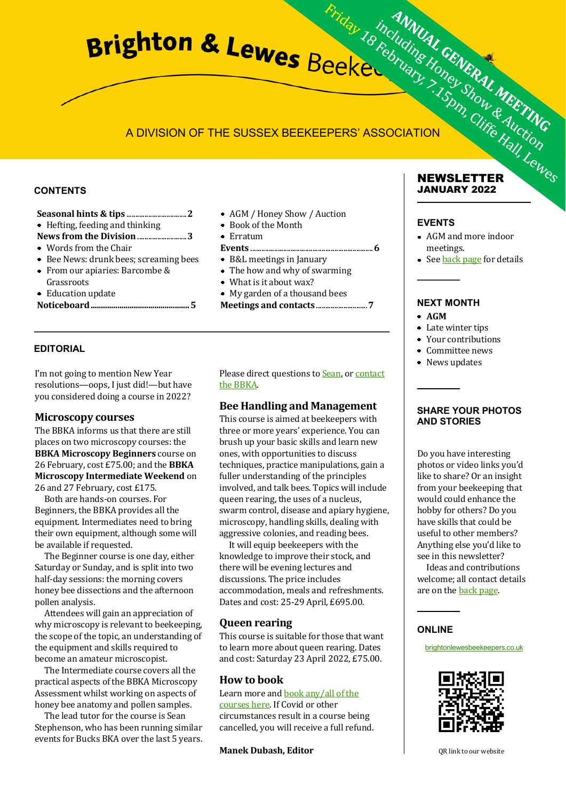## A DIVISION OF THE SUSSEX BEEKEEPERS' ASSOCIATION

#### **CONTENTS**

- Hefting, feeding and thinking
- **News from the Division** ...........................**3**
- Words from the Chair
- Bee News: drunk bees; screaming bees
- From our apiaries: Barcombe & Grassroots
- Education update

```
Noticeboard................................................5
```
#### **EDITORIAL**

I'm not going to mention New Year resolutions—oops, I just did!—but have you considered doing a course in 2022?

#### **Microscopy courses**

The BBKA informs us that there are still places on two microscopy courses: the **BBKA Microscopy Beginners** course on 26 February, cost £75.00; and the **BBKA Microscopy Intermediate Weekend** on 26 and 27 February, cost £175.

Both are hands-on courses. For Beginners, the BBKA provides all the equipment. Intermediates need to bring their own equipment, although some will be available if requested.

The Beginner course is one day, either Saturday or Sunday, and is split into two half-day sessions: the morning covers honey bee dissections and the afternoon pollen analysis.

Attendees will gain an appreciation of why microscopy is relevant to beekeeping. the scope of the topic, an understanding of the equipment and skills required to become an amateur microscopist.

The Intermediate course covers all the practical aspects of the BBKA Microscopy Assessment whilst working on aspects of honey bee anatomy and pollen samples.

The lead tutor for the course is Sean Stephenson, who has been running similar events for Bucks BKA over the last 5 years.

- AGM / Honey Show / Auction
- Book of the Month
- Erratum
- **Events** ...................................................................**6**
- B&L meetings in January
- The how and why of swarming
- What is it about wax?
- My garden of a thousand bees
- **Meetings and contacts** ............................**7**

#### Please direct questions to **Sean**, or **contact** the BBKA.

#### **Bee Handling and Management**

This course is aimed at beekeepers with three or more years' experience. You can brush up your basic skills and learn new ones, with opportunities to discuss techniques, practice manipulations, gain a fuller understanding of the principles involved, and talk bees. Topics will include queen rearing, the uses of a nucleus, swarm control, disease and apiary hygiene, microscopy, handling skills, dealing with aggressive colonies, and reading bees.

It will equip beekeepers with the knowledge to improve their stock, and there will be evening lectures and discussions. The price includes accommodation, meals and refreshments. Dates and cost: 25-29 April, £695.00.

#### **Queen rearing**

This course is suitable for those that want to learn more about queen rearing. Dates and cost: Saturday 23 April 2022, £75.00.

#### **How to book**

Learn more and book any/all of the courses here. If Covid or other circumstances result in a course being cancelled, you will receive a full refund.

**Manek Dubash, Editor**

#### **NEWSLETTER JANUARY 2022**

#### **EVENTS**

- AGM and more indoor meetings.
- See **back page** for details

## **NEXT MONTH**

- **AGM**
- Late winter tips
- Your contributions
- Committee news
- News updates

#### **SHARE YOUR PHOTOS AND STORIES**

Do you have interesting photos or video links you'd like to share? Or an insight from your beekeeping that would could enhance the hobby for others? Do you have skills that could be useful to other members? Anything else you'd like to see in this newsletter?

Ideas and contributions welcome; all contact details are on the [back page.](#page-6-0)

#### **ONLINE**

brightonlewesbeekeepers.co.uk



QR link to our website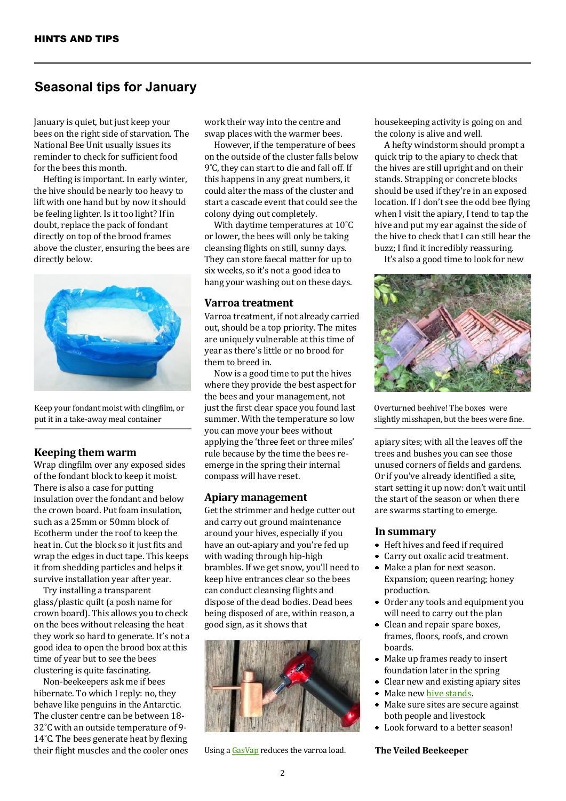## **Seasonal tips for January**

January is quiet, but just keep your bees on the right side of starvation. The National Bee Unit usually issues its reminder to check for sufficient food for the bees this month.

Hefting is important. In early winter, the hive should be nearly too heavy to lift with one hand but by now it should be feeling lighter. Is it too light? If in doubt, replace the pack of fondant directly on top of the brood frames above the cluster, ensuring the bees are directly below.



Keep your fondant moist with clingfilm, or put it in a take-away meal container

#### **Keeping them warm**

Wrap clingfilm over any exposed sides of the fondant block to keep it moist. There is also a case for putting insulation over the fondant and below the crown board. Put foam insulation, such as a 25mm or 50mm block of Ecotherm under the roof to keep the heat in. Cut the block so it just fits and wrap the edges in duct tape. This keeps it from shedding particles and helps it survive installation year after year.

Try installing a transparent glass/plastic quilt (a posh name for crown board). This allows you to check on the bees without releasing the heat they work so hard to generate. It's not a good idea to open the brood box at this time of year but to see the bees clustering is quite fascinating.

Non-beekeepers ask me if bees hibernate. To which I reply: no, they behave like penguins in the Antarctic. The cluster centre can be between 18- 32˚C with an outside temperature of 9- 14˚C. The bees generate heat by flexing their flight muscles and the cooler ones work their way into the centre and swap places with the warmer bees.

However, if the temperature of bees on the outside of the cluster falls below 9˚C, they can start to die and fall off. If this happens in any great numbers, it could alter the mass of the cluster and start a cascade event that could see the colony dying out completely.

With daytime temperatures at 10˚C or lower, the bees will only be taking cleansing flights on still, sunny days. They can store faecal matter for up to six weeks, so it's not a good idea to hang your washing out on these days.

#### **Varroa treatment**

Varroa treatment, if not already carried out, should be a top priority. The mites are uniquely vulnerable at this time of year as there's little or no brood for them to breed in.

Now is a good time to put the hives where they provide the best aspect for the bees and your management, not just the first clear space you found last summer. With the temperature so low you can move your bees without applying the 'three feet or three miles' rule because by the time the bees reemerge in the spring their internal compass will have reset.

#### **Apiary management**

Get the strimmer and hedge cutter out and carry out ground maintenance around your hives, especially if you have an out-apiary and you're fed up with wading through hip-high brambles. If we get snow, you'll need to keep hive entrances clear so the bees can conduct cleansing flights and dispose of the dead bodies. Dead bees being disposed of are, within reason, a good sign, as it shows that



Using a GasVap reduces the varroa load. **The Veiled Beekeeper**

housekeeping activity is going on and the colony is alive and well.

A hefty windstorm should prompt a quick trip to the apiary to check that the hives are still upright and on their stands. Strapping or concrete blocks should be used if they're in an exposed location. If I don't see the odd bee flying when I visit the apiary, I tend to tap the hive and put my ear against the side of the hive to check that I can still hear the buzz; I find it incredibly reassuring.

It's also a good time to look for new



Overturned beehive! The boxes were slightly misshapen, but the bees were fine.

apiary sites; with all the leaves off the trees and bushes you can see those unused corners of fields and gardens. Or if you've already identified a site, start setting it up now: don't wait until the start of the season or when there are swarms starting to emerge.

#### **In summary**

- Heft hives and feed if required
- Carry out oxalic acid treatment.
- $\bullet$ Make a plan for next season. Expansion; queen rearing; honey production.
- Order any tools and equipment you will need to carry out the plan
- Clean and repair spare boxes, frames, floors, roofs, and crown boards.
- $\bullet$ Make up frames ready to insert foundation later in the spring
- Clear new and existing apiary sites
- ۰ Make new hive stands.
- Make sure sites are secure against  $\bullet$ both people and livestock
- Look forward to a better season!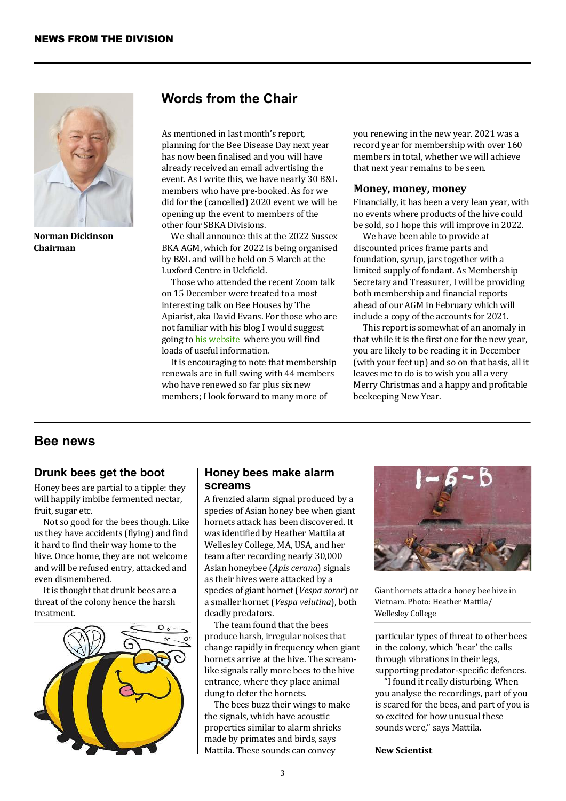

**Norman Dickinson Chairman**

## **Words from the Chair**

As mentioned in last month's report, planning for the Bee Disease Day next year has now been finalised and you will have already received an email advertising the event. As I write this, we have nearly 30 B&L members who have pre-booked. As for we did for the (cancelled) 2020 event we will be opening up the event to members of the other four SBKA Divisions.

We shall announce this at the 2022 Sussex BKA AGM, which for 2022 is being organised by B&L and will be held on 5 March at the Luxford Centre in Uckfield.

Those who attended the recent Zoom talk on 15 December were treated to a most interesting talk on Bee Houses by The Apiarist, aka David Evans. For those who are not familiar with his blog I would suggest going to his website where you will find loads of useful information.

It is encouraging to note that membership renewals are in full swing with 44 members who have renewed so far plus six new members; I look forward to many more of

you renewing in the new year. 2021 was a record year for membership with over 160 members in total, whether we will achieve that next year remains to be seen.

#### **Money, money, money**

Financially, it has been a very lean year, with no events where products of the hive could be sold, so I hope this will improve in 2022.

We have been able to provide at discounted prices frame parts and foundation, syrup, jars together with a limited supply of fondant. As Membership Secretary and Treasurer, I will be providing both membership and financial reports ahead of our AGM in February which will include a copy of the accounts for 2021.

This report is somewhat of an anomaly in that while it is the first one for the new year, you are likely to be reading it in December (with your feet up) and so on that basis, all it leaves me to do is to wish you all a very Merry Christmas and a happy and profitable beekeeping New Year.

### **Bee news**

#### **Drunk bees get the boot**

Honey bees are partial to a tipple: they will happily imbibe fermented nectar, fruit, sugar etc.

Not so good for the bees though. Like us they have accidents (flying) and find it hard to find their way home to the hive. Once home, they are not welcome and will be refused entry, attacked and even dismembered.

It is thought that drunk bees are a threat of the colony hence the harsh treatment.



#### **Honey bees make alarm screams**

A frenzied alarm signal produced by a species of Asian honey bee when giant hornets attack has been discovered. It was identified by Heather Mattila at Wellesley College, MA, USA, and her team after recording nearly 30,000 Asian honeybee (*Apis cerana*) signals as their hives were attacked by a species of giant hornet (*Vespa soror*) or a smaller hornet (*Vespa velutina*), both deadly predators.

The team found that the bees produce harsh, irregular noises that change rapidly in frequency when giant hornets arrive at the hive. The screamlike signals rally more bees to the hive entrance, where they place animal dung to deter the hornets.

The bees buzz their wings to make the signals, which have acoustic properties similar to alarm shrieks made by primates and birds, says Mattila. These sounds can convey



Giant hornets attack a honey bee hive in Vietnam. Photo: Heather Mattila/ Wellesley College

particular types of threat to other bees in the colony, which 'hear' the calls through vibrations in their legs, supporting predator-specific defences.

"I found it really disturbing. When you analyse the recordings, part of you is scared for the bees, and part of you is so excited for how unusual these sounds were," says Mattila.

#### **New Scientist**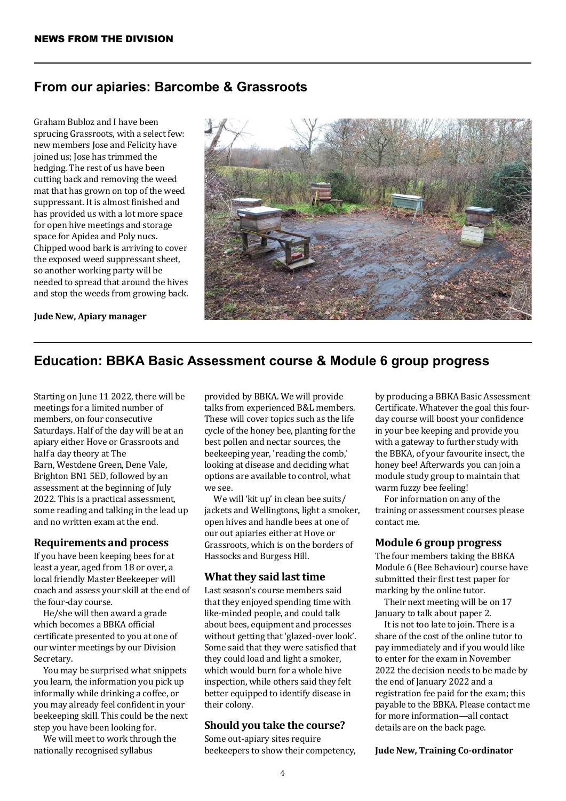## **From our apiaries: Barcombe & Grassroots**

Graham Bubloz and I have been sprucing Grassroots, with a select few: new members Jose and Felicity have joined us; Jose has trimmed the hedging. The rest of us have been cutting back and removing the weed mat that has grown on top of the weed suppressant. It is almost finished and has provided us with a lot more space for open hive meetings and storage space for Apidea and Poly nucs. Chipped wood bark is arriving to cover the exposed weed suppressant sheet, so another working party will be needed to spread that around the hives and stop the weeds from growing back.

**Jude New, Apiary manager**



## **Education: BBKA Basic Assessment course & Module 6 group progress**

Starting on June 11 2022, there will be meetings for a limited number of members, on four consecutive Saturdays. Half of the day will be at an apiary either Hove or Grassroots and half a day theory at The Barn, Westdene Green, Dene Vale, Brighton BN1 5ED, followed by an assessment at the beginning of July 2022. This is a practical assessment, some reading and talking in the lead up and no written exam at the end.

#### **Requirements and process**

If you have been keeping bees for at least a year, aged from 18 or over, a local friendly Master Beekeeper will coach and assess your skill at the end of the four-day course.

He/she will then award a grade which becomes a BBKA official certificate presented to you at one of our winter meetings by our Division Secretary.

You may be surprised what snippets you learn, the information you pick up informally while drinking a coffee, or you may already feel confident in your beekeeping skill. This could be the next step you have been looking for.

We will meet to work through the nationally recognised syllabus

provided by BBKA. We will provide talks from experienced B&L members. These will cover topics such as the life cycle of the honey bee, planting for the best pollen and nectar sources, the beekeeping year, 'reading the comb,' looking at disease and deciding what options are available to control, what we see.

We will 'kit up' in clean bee suits/ jackets and Wellingtons, light a smoker, open hives and handle bees at one of our out apiaries either at Hove or Grassroots, which is on the borders of Hassocks and Burgess Hill.

#### **What they said last time**

Last season's course members said that they enjoyed spending time with like-minded people, and could talk about bees, equipment and processes without getting that 'glazed-over look'. Some said that they were satisfied that they could load and light a smoker, which would burn for a whole hive inspection, while others said they felt better equipped to identify disease in their colony.

#### **Should you take the course?**

Some out-apiary sites require beekeepers to show their competency, by producing a BBKA Basic Assessment Certificate. Whatever the goal this fourday course will boost your confidence in your bee keeping and provide you with a gateway to further study with the BBKA, of your favourite insect, the honey bee! Afterwards you can join a module study group to maintain that warm fuzzy bee feeling!

For information on any of the training or assessment courses please contact me.

#### **Module 6 group progress**

The four members taking the BBKA Module 6 (Bee Behaviour) course have submitted their first test paper for marking by the online tutor.

Their next meeting will be on 17 January to talk about paper 2.

It is not too late to join. There is a share of the cost of the online tutor to pay immediately and if you would like to enter for the exam in November 2022 the decision needs to be made by the end of January 2022 and a registration fee paid for the exam; this payable to the BBKA. Please contact me for more information—all contact details are on the back page.

**Jude New, Training Co-ordinator**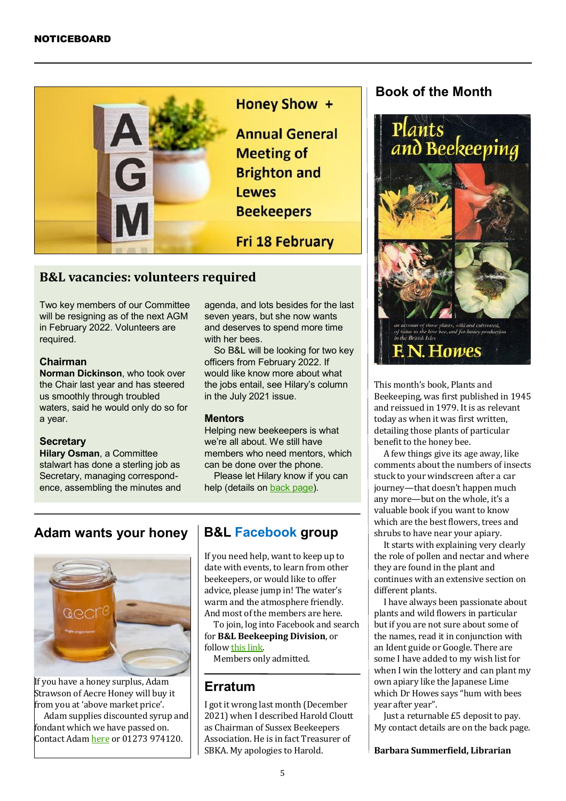

Honey Show +

**Annual General Meeting of Brighton and Lewes Beekeepers** 

**Fri 18 February** 

## **B&L vacancies: volunteers required**

Two key members of our Committee will be resigning as of the next AGM in February 2022. Volunteers are required.

#### **Chairman**

**Norman Dickinson**, who took over the Chair last year and has steered us smoothly through troubled waters, said he would only do so for a year.

#### **Secretary**

**Hilary Osman**, a Committee stalwart has done a sterling job as Secretary, managing correspondence, assembling the minutes and agenda, and lots besides for the last seven years, but she now wants and deserves to spend more time with her bees.

So B&L will be looking for two key officers from February 2022. If would like know more about what the jobs entail, see Hilary's column in the July 2021 issue.

#### **Mentors**

Helping new beekeepers is what we're all about. We still have members who need mentors, which can be done over the phone.

Please let Hilary know if you can help (details on [back page\).](#page-6-0)

## **Adam wants your honey**



If you have a honey surplus, Adam Strawson of Aecre Honey will buy it from you at 'above market price'.

Adam supplies discounted syrup and fondant which we have passed on. Contact Adam here or 01273 974120.

## **B&L Facebook group**

If you need help, want to keep up to date with events, to learn from other beekeepers, or would like to offer advice, please jump in! The water's warm and the atmosphere friendly. And most of the members are here.

To join, log into Facebook and search for **B&L Beekeeping Division**, or follow this link.

Members only admitted.

## **Erratum**

I got it wrong last month (December 2021) when I described Harold Cloutt as Chairman of Sussex Beekeepers Association. He is in fact Treasurer of SBKA. My apologies to Harold.

## **Book of the Month**



This month's book, Plants and Beekeeping, was first published in 1945 and reissued in 1979. It is as relevant today as when it was first written, detailing those plants of particular benefit to the honey bee.

A few things give its age away, like comments about the numbers of insects stuck to your windscreen after a car journey—that doesn't happen much any more—but on the whole, it's a valuable book if you want to know which are the best flowers, trees and shrubs to have near your apiary.

It starts with explaining very clearly the role of pollen and nectar and where they are found in the plant and continues with an extensive section on different plants.

I have always been passionate about plants and wild flowers in particular but if you are not sure about some of the names, read it in conjunction with an Ident guide or Google. There are some I have added to my wish list for when I win the lottery and can plant my own apiary like the Japanese Lime which Dr Howes says "hum with bees year after year".

Just a returnable £5 deposit to pay. My contact details are on the back page.

**Barbara Summerfield, Librarian**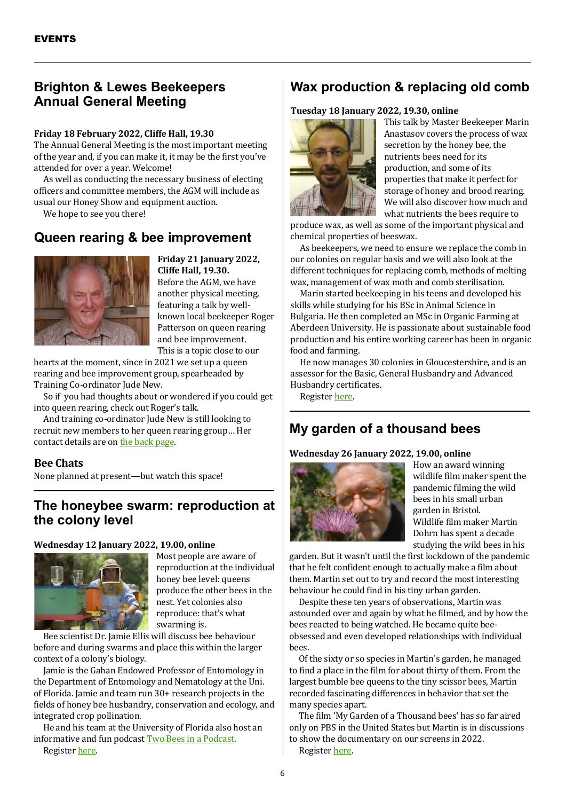## **Brighton & Lewes Beekeepers Annual General Meeting**

#### **Friday 18 February 2022, Cliffe Hall, 19.30**

The Annual General Meeting is the most important meeting of the year and, if you can make it, it may be the first you've attended for over a year. Welcome!

As well as conducting the necessary business of electing officers and committee members, the AGM will include as usual our Honey Show and equipment auction.

We hope to see you there!

## **Queen rearing & bee improvement**



**Friday 21 January 2022, Cliffe Hall, 19.30.**  Before the AGM, we have another physical meeting, featuring a talk by wellknown local beekeeper Roger Patterson on queen rearing and bee improvement. This is a topic close to our

hearts at the moment, since in 2021 we set up a queen rearing and bee improvement group, spearheaded by Training Co-ordinator Jude New.

So if you had thoughts about or wondered if you could get into queen rearing, check out Roger's talk.

And training co-ordinator Jude New is still looking to recruit new members to her queen rearing group… Her contact details are on [the back page.](#page-6-0)

#### **Bee Chats**

None planned at present—but watch this space!

## **The honeybee swarm: reproduction at the colony level**

#### **Wednesday 12 January 2022, 19.00, online**



Most people are aware of reproduction at the individual honey bee level: queens produce the other bees in the nest. Yet colonies also reproduce: that's what swarming is.

Bee scientist Dr. Jamie Ellis will discuss bee behaviour before and during swarms and place this within the larger context of a colony's biology.

Jamie is the Gahan Endowed Professor of Entomology in the Department of Entomology and Nematology at the Uni. of Florida. Jamie and team run 30+ research projects in the fields of honey bee husbandry, conservation and ecology, and integrated crop pollination.

He and his team at the University of Florida also host an informative and fun podcast Two Bees in a Podcast. Register here.

## **Wax production & replacing old comb**

#### **Tuesday 18 January 2022, 19.30, online**



This talk by Master Beekeeper Marin Anastasov covers the process of wax secretion by the honey bee, the nutrients bees need for its production, and some of its properties that make it perfect for storage of honey and brood rearing. We will also discover how much and what nutrients the bees require to

produce wax, as well as some of the important physical and chemical properties of beeswax.

As beekeepers, we need to ensure we replace the comb in our colonies on regular basis and we will also look at the different techniques for replacing comb, methods of melting wax, management of wax moth and comb sterilisation.

Marin started beekeeping in his teens and developed his skills while studying for his BSc in Animal Science in Bulgaria. He then completed an MSc in Organic Farming at Aberdeen University. He is passionate about sustainable food production and his entire working career has been in organic food and farming.

He now manages 30 colonies in Gloucestershire, and is an assessor for the Basic, General Husbandry and Advanced Husbandry certificates.

Register here.

## **My garden of a thousand bees**

#### **Wednesday 26 January 2022, 19.00, online**



How an award winning wildlife film maker spent the pandemic filming the wild bees in his small urban garden in Bristol. Wildlife film maker Martin Dohrn has spent a decade studying the wild bees in his

garden. But it wasn't until the first lockdown of the pandemic that he felt confident enough to actually make a film about them. Martin set out to try and record the most interesting behaviour he could find in his tiny urban garden.

Despite these ten years of observations, Martin was astounded over and again by what he filmed, and by how the bees reacted to being watched. He became quite beeobsessed and even developed relationships with individual bees.

Of the sixty or so species in Martin's garden, he managed to find a place in the film for about thirty of them. From the largest bumble bee queens to the tiny scissor bees, Martin recorded fascinating differences in behavior that set the many species apart.

The film 'My Garden of a Thousand bees' has so far aired only on PBS in the United States but Martin is in discussions to show the documentary on our screens in 2022. Register here.

6